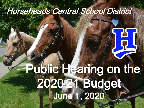### Horseheads Central School District

# June 1, 2020 Public Hearing on the 2020-21 Budget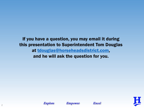If you have a question, you may email it during this presentation to Superintendent Tom Douglas at [tdouglas@horseheadsdistrict.com](mailto:tdouglas@horseheadsdistrict.com), and he will ask the question for you.







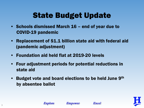### State Budget Update

- Schools dismissed March 16 end of year due to COVID-19 pandemic
- Replacement of \$1.1 billion state aid with federal aid (pandemic adjustment)
- Foundation aid held flat at 2019-20 levels
- Four adjustment periods for potential reductions in state aid
- Budget vote and board elections to be held June  $9<sup>th</sup>$ by absentee ballot

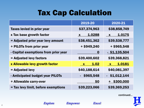#### Tax Cap Calculation

|                                      | 2019-20                | 2020-21                             |
|--------------------------------------|------------------------|-------------------------------------|
| <b>Taxes levied in prior year</b>    | \$37,374,963           | \$38,858,749                        |
| x Tax base growth factor             | 1.0288<br>$\mathbf{X}$ | 1.0175<br>$\boldsymbol{\mathsf{X}}$ |
| = Adjusted prior year levy amount    | \$38,451,362           | \$39,538,777                        |
| + PILOTs from prior year             | $+$ \$949,240          | $+$ \$965,548                       |
| - Capital exemptions from prior year | O                      | $-$ \$1,135,504                     |
| = Adjusted levy factors              | \$39,400,602           | \$39,368,821                        |
| x Allowable levy growth factor       | 1.02<br>$\mathbf{X}$   | 1.0181<br>$\mathbf{X}$              |
| = Adjusted levy                      | \$40,188,614           | \$40,081,397                        |
| - Anticipated budget year PILOTs     | $-$ \$965,548          | $-$ \$1,012,144                     |
| + Allowable carry-over               | \$0                    | \$300,000<br>$\pm$                  |
| = Tax levy limit, before exemptions  | \$39,223,066           | \$39,369,253                        |

continued…

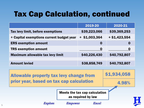#### Tax Cap Calculation, continued

|                                          | 2019-20          | 2020-21        |
|------------------------------------------|------------------|----------------|
| Tax levy limit, before exemptions        | \$39,223,066     | \$39,369,253   |
| + Capital exemptions current budget year | $+$ \$1,003,364  | $+ $1,423,554$ |
| <b>ERS exemption amount</b>              | $\boldsymbol{0}$ | 0              |
| <b>TRS exemption amount</b>              | $\boldsymbol{0}$ | $\bf{0}$       |
| <b>Maximum allowable tax levy limit</b>  | \$40,226,430     | \$40,792,807   |
|                                          |                  |                |
| <b>Amount levied</b>                     | \$38,858,749     | \$40,792,807   |
|                                          |                  |                |

Allowable property tax levy change from prior year, based on tax cap calculation

4.98%

\$1,934,058

Meets the tax cap calculation as required by law

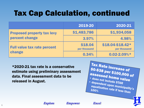### Tax Cap Calculation, continued

|                                              | 2019-20                 | 2020-21                          |
|----------------------------------------------|-------------------------|----------------------------------|
| <b>Proposed property tax levy</b>            | \$1,483,786             | \$1,934,058                      |
| percent change                               | 3.97%                   | 4.98%                            |
| <b>Full value tax rate percent</b><br>change | \$18.04<br>per thousand | \$18.04-\$18.42*<br>per thousand |
|                                              | 0.34%                   | $0.02 - 2.09%$ *                 |

\*2020-21 tax rate is a conservative estimate using preliminary assessment data. Final assessment data to be released in August.

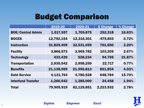#### Budget Comparison

|                           | 2019-20    | $2020 - 21$ | \$ Change  | % Change |
|---------------------------|------------|-------------|------------|----------|
| <b>BOE/Central Admin</b>  | 1,517,557  | 1,769,875   | 252,318    | 16.63%   |
| <b>BOCES</b>              | 12,792,154 | 12,316,301  | $-475,853$ | $-3.72%$ |
| <b>Instruction</b>        | 31,829,409 | 32,531,059  | 701,650    | 2.20%    |
| <b>Facility</b>           | 3,866,573  | 3,969,782   | 103,209    | 2.67%    |
| <b>Technology</b>         | 433,439    | 528,234     | 94,795     | 21.87%   |
| <b>Transportation</b>     | 2,935,542  | 2,958,259   | 22,717     | 0.77%    |
| <b>Benefits</b>           | 21,138,959 | 21,990,813  | 851,854    | 4.03%    |
| <b>Debt Service</b>       | 4,131,744  | 4,780,528   | 648,784    | 15.70%   |
| <b>Interfund Transfer</b> | 1,260,542  | 1,285,000   | 24,458     | 1.94%    |
| <b>Total</b>              | 79,905,919 | 82,129,851  | 2,223,932  | 2.78%    |

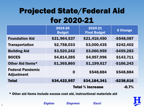### Projected State/Federal Aid for 2020-21

|                                              | 2019-20<br><b>Budget</b> | 2020-21<br><b>Final Budget</b> | \$ Change     |
|----------------------------------------------|--------------------------|--------------------------------|---------------|
| <b>Foundation Aid</b>                        | \$21,964,537             | \$21,416,450                   | $-$ \$548,087 |
| <b>Transportation</b>                        | \$2,758,033              | \$3,000,435                    | \$242,402     |
| <b>Building Aid</b>                          | \$3,520,242              | \$3,060,959                    | $-$ \$459,283 |
| <b>BOCES</b>                                 | \$4,814,285              | \$4,957,996                    | \$143,711     |
| Other Aid Items*                             | \$1,365,860              | \$1,199,617                    | $-$166,243$   |
| <b>Federal Pandemic</b><br><b>Adjustment</b> | $\mathbf 0$              | \$548,884                      | \$548,884     |
| <b>Total</b>                                 | \$34,422,957             | \$34,184,341                   | -\$238,616    |
|                                              | <b>Total % increase</b>  | $-0.7%$                        |               |

\* Other aid items include excess cost aid, instructional materials aid

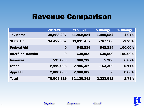#### Revenue Comparison

|                           | 2019-20          | 2020-21    | \$ Change  | % Change |
|---------------------------|------------------|------------|------------|----------|
| <b>Tax Items</b>          | 39,888,297       | 41,868,951 | 1,980,654  | 4.97%    |
| <b>State Aid</b>          | 34,422,957       | 33,635,457 | $-787,500$ | $-2.29%$ |
| <b>Federal Aid</b>        | $\boldsymbol{0}$ | 548,884    | 548,884    | 100.00%  |
| <b>Interfund Transfer</b> | $\boldsymbol{0}$ | 630,000    | 630,000    | 100.00%  |
| <b>Reserves</b>           | 595,000          | 600,200    | 5,200      | 0.87%    |
| <b>Other</b>              | 2,999,665        | 2,846,359  | $-153,306$ | $-5.11%$ |
| <b>Appr FB</b>            | 2,000,000        | 2,000,000  | $\bf{0}$   | 0.00%    |
| <b>Total</b>              | 79,905,919       | 82,129,851 | 2,223,932  | 2.78%    |

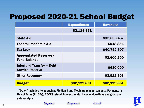#### Proposed 2020-21 School Budget

|                                                            | <b>Expenditures</b> | <b>Revenues</b> |
|------------------------------------------------------------|---------------------|-----------------|
|                                                            | 82,129,851          |                 |
| <b>State Aid</b>                                           |                     | \$33,635,457    |
| <b>Federal Pandemic Aid</b>                                |                     | \$548,884       |
| <b>Tax Levy</b>                                            |                     | \$40,792,807    |
| <b>Appropriated Reserves/</b><br><b>Fund Balance</b>       |                     | \$2,600,200     |
| <b>Interfund Transfer - Debt</b><br><b>Service Reserve</b> |                     | \$630,000       |
| Other Revenue*                                             |                     | \$3,922,503     |
| <b>Budget</b>                                              | \$82,129,851        | \$82,129,851    |

\*"Other" includes items such as Medicaid and Medicare reimbursements, Payments in Lieu of Taxes (PILOTs), BOCES refund, interest, rental income, donations and gifts, and gate receipts.



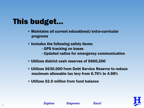#### This budget…

- Maintains all current educational/extra-curricular programs
- Includes the following safety items:
	- GPS tracking on buses
	- Updated radios for emergency communication
- Utilizes district cash reserves of \$600,200
- Utilizes \$630,000 from Debt Service Reserve to reduce maximum allowable tax levy from 6.76% to 4.98%
- Utilizes \$2.0 million from fund balance



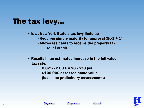#### The tax levy…

- Is at New York State's tax levy limit law
	- Requires simple majority for approval  $(50\% + 1)$
	- Allows residents to receive the property tax relief credit
- Results in an estimated increase in the full value tax rate:

 $0.02\%$  - 2.09 $\%$  = \$0 - \$38 per \$100,000 assessed home value (based on preliminary assessments)



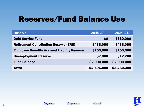#### Reserves/Fund Balance Use

| <b>Reserve</b>                                     | 2019-20     | 2020-21     |
|----------------------------------------------------|-------------|-------------|
| <b>Debt Service Fund</b>                           | \$0         | \$630,000   |
| <b>Retirement Contribution Reserve (ERS)</b>       | \$438,000   | \$438,000   |
| <b>Employee Benefits Accrued Liability Reserve</b> | \$150,000   | \$150,000   |
| <b>Unemployment Reserve</b>                        | \$7,000     | \$12,200    |
| <b>Fund Balance</b>                                | \$2,000,000 | \$2,000,000 |
| <b>Total</b>                                       | \$2,595,000 | \$3,230,200 |



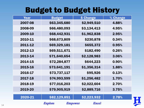#### Budget to Budget History

| Year    | <b>Budget</b> | \$ Change        | % Change |
|---------|---------------|------------------|----------|
| 2007-08 | \$63,345,680  | \$2,949,510      | 4.88%    |
| 2008-09 | \$66,480,093  | \$3,134,413      | 4.95%    |
| 2009-10 | \$68,442,931  | \$1,962,838      | 2.95%    |
| 2010-11 | \$68,673,809  | \$230,878        | 0.34%    |
| 2011-12 | \$69,329,181  | \$655,372        | 0.95%    |
| 2012-13 | \$69,511,671  | \$182,490        | 0.26%    |
| 2013-14 | \$71,640,654  | \$2,128,983      | 3.06%    |
| 2014-15 | \$72,284,877  | \$644,223        | 0.90%    |
| 2015-16 | \$73,641,191  | \$1,356,314      | 1.88%    |
| 2016-17 | \$73,737,117  | \$95,926         | 0.13%    |
| 2017-18 | \$74,993,599  | \$1,256,482      | 1.70%    |
| 2018-19 | \$77,016,203  | \$2,022,604      | 2.70%    |
| 2019-20 | \$79,905,919  | \$2,889,716      | 3.75%    |
|         |               |                  |          |
| 2020-21 | \$82,129,851  | \$2,223,932      | 2.78%    |
|         | Explore       | Excel<br>Empower |          |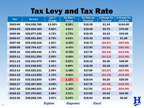#### Tax Levy and Tax Rate

| <b>Year</b> | <b>Tax Levy</b> | Levy %<br><b>Change</b> | <b>Tax Rate %</b><br><b>Change</b> | <b>Tax Rate per</b><br><b>Thousand</b> | \$ Change Per<br><b>Thousand</b> | \$ Change Per<br>\$100,000 |
|-------------|-----------------|-------------------------|------------------------------------|----------------------------------------|----------------------------------|----------------------------|
| 2003-04     | \$24,028,785    | 13.30%                  | 8.56%                              | \$18.36                                | \$1.44                           | \$144.00                   |
| 2004-05     | \$25,664,364    | 6.80%                   | 3.81%                              | \$19.06                                | \$0.70                           | \$70.00                    |
| 2005-06     | \$26,877,436    | 4.73%                   | 1.73%                              | \$19.39                                | \$0.33                           | \$33.00                    |
| 2006-07     | \$28,691,593    | 6.75%                   | 0.05%                              | \$19.40                                | \$0.01                           | \$1.00                     |
| 2007-08     | \$29,238,518    | 1.91%                   | $-3.45%$                           | \$18.73                                | (\$0.67)                         | ( \$67.00)                 |
| 2008-09     | \$29,794,417    | 1.90%                   | $-4.43%$                           | \$17.90                                | (\$0.83)                         | ( \$83.00)                 |
| 2009-10     | \$30,305,445    | 1.72%                   | $-0.78%$                           | \$17.76                                | (50.14)                          | (\$14.00)                  |
| 2010-11     | \$30,911,554    | 2.00%                   | $-0.68%$                           | \$17.64                                | (50.12)                          | (\$12.00)                  |
| 2011-12     | \$32,441,675    | 4.95%                   | 2.61%                              | \$18.10                                | \$0.46                           | \$46.00                    |
| 2012-13     | \$33,548,942    | 3.41%                   | 0.88%                              | \$18.26                                | \$0.16                           | \$16.00                    |
| 2013-14     | \$34,522,231    | 2.90%                   | $-1.48%$                           | \$17.99                                | (50.27)                          | (S27.00)                   |
| 2014-15     | \$35,114,955    | 1.72%                   | $-0.83%$                           | \$17.84                                | (50.15)                          | (\$15.00)                  |
| 2015-16     | \$35,323,835    | 0.59%                   | 1.12%                              | \$18.04                                | \$0.20                           | \$20.00                    |
| 2016-17     | \$35,307,604    | $-0.05%$                | $-1.44%$                           | \$17.78                                | (\$0.26)                         | ( \$26.00)                 |
| 2017-18     | \$36,082,023    | 2.19%                   | $-1.35%$                           | \$17.54                                | (50.24)                          | ( \$24.00)                 |
| 2018-19     | \$37,374,963    | 3.58%                   | 2.51%                              | \$17.98                                | \$0.44                           | \$44.00                    |
| 2019-20     | \$38,858,749    | 3.97%                   | 0.34%                              | \$18.04                                | \$0.06                           | \$6.00                     |
|             |                 | Explore                 | Empower                            | Excel                                  |                                  |                            |

H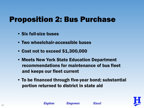#### Proposition 2: Bus Purchase

- Six full-size buses
- Two wheelchair-accessible buses
- Cost not to exceed \$1,300,000
- Meets New York State Education Department recommendations for maintenance of bus fleet and keeps our fleet current
- To be financed through five-year bond; substantial portion returned to district in state aid

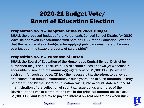#### 2020-21 Budget Vote/ Board of Education Election

#### Proposition No. 1 – Adoption of the 2020-21 Budget

SHALL the proposed budget of the Horseheads Central School District for 2020- 2021 be approved in accordance with Section 2022 of the Education Law and that the balance of said budget after applying public monies thereto, be raised by a tax upon the taxable property of said district?

#### Proposition No. 2 – Purchase of Buses

SHALL the Board of Education of the Horseheads Central School District be authorized to: (1) acquire six (6) full-size school buses and two (2) wheelchairaccessible buses, at a maximum aggregate cost of \$1,300,000; (2) expend such sum for such purpose; (3) levy the necessary tax therefore, to be levied and collected in annual installments in such years and in such amounts as may be determined by the Board of Education taking into account state aid; and (4) in anticipation of the collection of such tax, issue bonds and notes of the District at one time or from time to time in the principal amount not to exceed \$1,300,000, and levy a tax to pay the interest on said obligations when due?

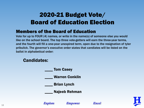#### 2020-21 Budget Vote/ Board of Education Election

#### Members of the Board of Education

Vote for up to FOUR (4) names, or write in the name(s) of someone else you would like on the school board. The top three vote-getters will earn the three-year terms, and the fourth will fill a one-year unexpired term, open due to the resignation of tyler pribulick. The governor's executive order states that candiates will be listed on the ballot in alphabetical order:

#### Candidates:

- **Tom Casey** \_\_\_\_ Warren Conklin \_\_\_\_ Brian Lynch
	- \_\_\_\_ Najeeb Rehman



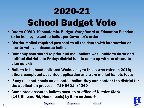## 2020-21 School Budget Vote

- Due to COVID-19 pandemic, Budget Vote/Board of Education Election to be held by absentee ballot per Governor's order
- District mailed required postcard to all residents with information on how to vote via absentee ballot
- Company contracted to print and mail ballots was unable to do so and notified district late Friday; district had to come up with an alternate plan quickly
- Ballots to be hand-delivered Wednesday to those who voted in 2019; others completed absentee application and were mailed ballots today
- If any resident needs an absentee ballot, they can contact the district for the application process – 739-5601, x4260
- Completed absentee ballots must be at office of District Clerk (143 Hibbard Rd, Horseheads) by 5pm on June 9



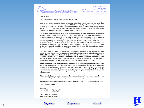

Dr. Thomas J. Douglas Superintendent 143 Hibbard Road . Horseheads, NY 14845 (607) 739-5601, x4201 · Fax (607) 795-2405 www.horseheadsdistrict.com

June 1, 2020

Dear Horseheads Central School District Resident:

Due to the unprecedented global situation regarding COVID-19, the Governor has issued an executive order requiring the 2020 School Budget Vote and Board Election be held by absentee ballot only. We understand that there is little time to complete this process prior to the June 9 deadline, and we would like to provide you with some explanation and instructions on making your vote count.

The district had contracted with an outside company to print and mail our absentee ballots. This company informed us on Friday, May 29 that they were unable to obtain adequate supplies to complete our ballots. As a result, we had to find another supplier and printer to assist us in this process. Because of this late notice from the company, we are expediting the printing and preparation of the ballot packets and are handdelivering them to those who voted in 2019. We are doing all we can to ensure that ballots get to qualified voters in time to vote. If you or someone you know did not vote in the 2019 vote, is qualified to vote, and would like to vote this year, please contact Terri Clark at 739-5601 extension 4260 as soon as possible.

You may mail your ballot in the provided postage-paid envelope or you may deliver your ballot to the District Clerk by dropping your ballot at the district office located at 143 Hibbard Road (off Daniel Zenker Drive), Horseheads. Ballots must be received by 5pm on June 9 in order to be counted. We ask that you be aware of the date and choose your method of return accordingly to ensure that your ballot gets to us by 5pm on June 9. We are happy to help in any way to ensure your ballot is received on time.

We want to assure you that your ballot is confidential, even though you must write your name and address on the oath envelope. This is required by election law. Please be assured that the election inspector will open the ballot, slide the ballot out of the envelope, and separate it from the envelope prior to any counting. Ballots will be separate from envelopes before any counting of ballots has begun to ensure your confidentiality.

When completing your ballot, please make sure the intent of your vote is clear. Be sure to fill out and sign the oath envelope. This will ensure that your vote counts.

If you have any questions, please contact Terri Clark at (607) 739-5601 extension 4260.

Thank you for voting.

Sincerely.

Dr. Thomas J. Douglas Superintendent of Schools